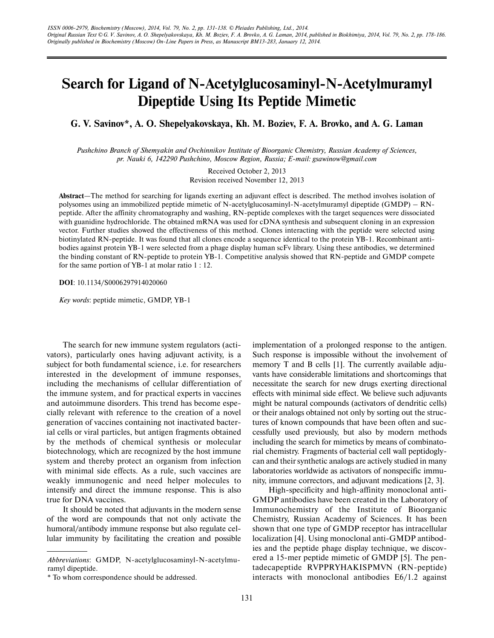## **Search for Ligand of N-Acetylglucosaminyl-N-Acetylmuramyl Dipeptide Using Its Peptide Mimetic**

**G. V. Savinov\*, A. O. Shepelyakovskaya, Kh. M. Boziev, F. A. Brovko, and A. G. Laman**

*Pushchino Branch of Shemyakin and Ovchinnikov Institute of Bioorganic Chemistry, Russian Academy of Sciences, pr. Nauki 6, 142290 Pushchino, Moscow Region, Russia; E-mail: gsawinow@gmail.com*

> Received October 2, 2013 Revision received November 12, 2013

**Abstract**—The method for searching for ligands exerting an adjuvant effect is described. The method involves isolation of polysomes using an immobilized peptide mimetic of N-acetylglucosaminyl-N-acetylmuramyl dipeptide (GMDP) – RNpeptide. After the affinity chromatography and washing, RN-peptide complexes with the target sequences were dissociated with guanidine hydrochloride. The obtained mRNA was used for cDNA synthesis and subsequent cloning in an expression vector. Further studies showed the effectiveness of this method. Clones interacting with the peptide were selected using biotinylated RN-peptide. It was found that all clones encode a sequence identical to the protein YB-1. Recombinant antibodies against protein YB-1 were selected from a phage display human scFv library. Using these antibodies, we determined the binding constant of RN-peptide to protein YB-1. Competitive analysis showed that RN-peptide and GMDP compete for the same portion of YB-1 at molar ratio 1 : 12.

**DOI**: 10.1134/S0006297914020060

*Key words*: peptide mimetic, GMDP, YB-1

The search for new immune system regulators (activators), particularly ones having adjuvant activity, is a subject for both fundamental science, i.e. for researchers interested in the development of immune responses, including the mechanisms of cellular differentiation of the immune system, and for practical experts in vaccines and autoimmune disorders. This trend has become especially relevant with reference to the creation of a novel generation of vaccines containing not inactivated bacterial cells or viral particles, but antigen fragments obtained by the methods of chemical synthesis or molecular biotechnology, which are recognized by the host immune system and thereby protect an organism from infection with minimal side effects. As a rule, such vaccines are weakly immunogenic and need helper molecules to intensify and direct the immune response. This is also true for DNA vaccines.

It should be noted that adjuvants in the modern sense of the word are compounds that not only activate the humoral/antibody immune response but also regulate cellular immunity by facilitating the creation and possible implementation of a prolonged response to the antigen. Such response is impossible without the involvement of memory T and B cells [1]. The currently available adjuvants have considerable limitations and shortcomings that necessitate the search for new drugs exerting directional effects with minimal side effect. We believe such adjuvants might be natural compounds (activators of dendritic cells) or their analogs obtained not only by sorting out the structures of known compounds that have been often and successfully used previously, but also by modern methods including the search for mimetics by means of combinatorial chemistry. Fragments of bacterial cell wall peptidoglycan and their synthetic analogs are actively studied in many laboratories worldwide as activators of nonspecific immunity, immune correctors, and adjuvant medications [2, 3].

High-specificity and high-affinity monoclonal anti-GMDP antibodies have been created in the Laboratory of Immunochemistry of the Institute of Bioorganic Chemistry, Russian Academy of Sciences. It has been shown that one type of GMDP receptor has intracellular localization [4]. Using monoclonal anti-GMDP antibodies and the peptide phage display technique, we discovered a 15-mer peptide mimetic of GMDP [5]. The pentadecapeptide RVPPRYHAKISPMVN (RN-peptide) interacts with monoclonal antibodies E6/1.2 against

*Abbreviations*: GMDP, N-acetylglucosaminyl-N-acetylmuramyl dipeptide.

<sup>\*</sup> To whom correspondence should be addressed.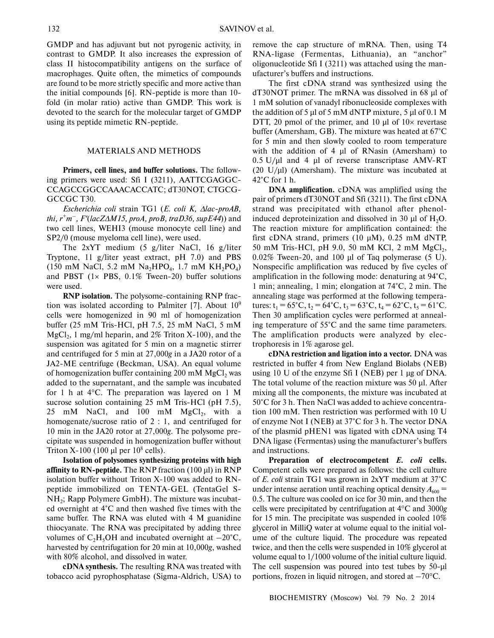GMDP and has adjuvant but not pyrogenic activity, in contrast to GMDP. It also increases the expression of class II histocompatibility antigens on the surface of macrophages. Quite often, the mimetics of compounds are found to be more strictly specific and more active than the initial compounds [6]. RN-peptide is more than 10 fold (in molar ratio) active than GMDP. This work is devoted to the search for the molecular target of GMDP using its peptide mimetic RN-peptide.

## MATERIALS AND METHODS

**Primers, cell lines, and buffer solutions.** The following primers were used: Sfi I (3211), AATTCGAGGC-CCAGCCGGCCAAACACCATC; dT30NOT, CTGCG-GCCGC T30.

*Escherichia coli* strain TG1 (*E. coli K,* ∆*lac-proAB, thi, r<sup>+</sup>m – , F*′(*lacZ*∆*M15, proA, proB, traD36, supE44*)) and two cell lines, WEHI3 (mouse monocyte cell line) and SP2/0 (mouse myeloma cell line), were used.

The 2xYT medium (5 g/liter NaCl, 16 g/liter Tryptone, 11 g/liter yeast extract, pH 7.0) and PBS  $(150 \text{ mM NaCl}, 5.2 \text{ mM Na}_2\text{HPO}_4, 1.7 \text{ mM KH}_2\text{PO}_4)$ and PBST  $(1 \times$  PBS,  $0.1\%$  Tween-20) buffer solutions were used.

**RNP isolation.** The polysome-containing RNP fraction was isolated according to Palmiter [7]. About  $10<sup>9</sup>$ cells were homogenized in 90 ml of homogenization buffer (25 mM Tris-HCl, pH 7.5, 25 mM NaCl, 5 mM  $MgCl<sub>2</sub>$ , 1 mg/ml heparin, and 2% Triton X-100), and the suspension was agitated for 5 min on a magnetic stirrer and centrifuged for 5 min at 27,000*g* in a JA20 rotor of a JA2-ME centrifuge (Beckman, USA). An equal volume of homogenization buffer containing  $200 \text{ mM } MgCl$ , was added to the supernatant, and the sample was incubated for 1 h at 4°C. The preparation was layered on 1 M sucrose solution containing 25 mM Tris-HCl (pH 7.5), 25 mM NaCl, and  $100$  mM MgCl<sub>2</sub>, with a homogenate/sucrose ratio of 2 : 1, and centrifuged for 10 min in the JA20 rotor at 27,000*g*. The polysome precipitate was suspended in homogenization buffer without Triton X-100 (100 µl per  $10^8$  cells).

**Isolation of polysomes synthesizing proteins with high affinity to RN-peptide.** The RNP fraction (100 µl) in RNP isolation buffer without Triton X-100 was added to RNpeptide immobilized on TENTA-GEL (TentaGel S-NH<sub>2</sub>; Rapp Polymere GmbH). The mixture was incubated overnight at 4°C and then washed five times with the same buffer. The RNA was eluted with 4 M guanidine thiocyanate. The RNA was precipitated by adding three volumes of  $C_2H_5OH$  and incubated overnight at  $-20^{\circ}C$ . harvested by centrifugation for 20 min at 10,000*g*, washed with 80% alcohol, and dissolved in water.

**cDNA synthesis.** The resulting RNA was treated with tobacco acid pyrophosphatase (Sigma-Aldrich, USA) to remove the cap structure of mRNA. Then, using T4 RNA-ligase (Fermentas, Lithuania), an "anchor" oligonucleotide Sfi I (3211) was attached using the manufacturer's buffers and instructions.

The first cDNA strand was synthesized using the dT30NOT primer. The mRNA was dissolved in 68 µl of 1 mM solution of vanadyl ribonucleoside complexes with the addition of 5  $\mu$ l of 5 mM dNTP mixture, 5  $\mu$ l of 0.1 M DTT, 20 pmol of the primer, and 10  $\mu$ l of 10 $\times$  revertase buffer (Amersham, GB). The mixture was heated at 67°C for 5 min and then slowly cooled to room temperature with the addition of 4 µl of RNasin (Amersham) to  $0.5$  U/ $\mu$ l and 4  $\mu$ l of reverse transcriptase AMV-RT  $(20 \text{ U/}\mu\text{I})$  (Amersham). The mixture was incubated at 42°C for 1 h.

**DNA amplification.** cDNA was amplified using the pair of primers dT30NOT and Sfi (3211). The first cDNA strand was precipitated with ethanol after phenolinduced deproteinization and dissolved in 30  $\mu$ l of H<sub>2</sub>O. The reaction mixture for amplification contained: the first cDNA strand, primers (10 µM), 0.25 mM dNTP, 50 mM Tris-HCl, pH 9.0, 50 mM KCl, 2 mM MgCl<sub>2</sub>, 0.02% Tween-20, and 100 µl of Taq polymerase (5 U). Nonspecific amplification was reduced by five cycles of amplification in the following mode: denaturing at 94°C, 1 min; annealing, 1 min; elongation at 74°C, 2 min. The annealing stage was performed at the following temperatures:  $t_1 = 65^{\circ}$ C,  $t_2 = 64^{\circ}$ C,  $t_3 = 63^{\circ}$ C,  $t_4 = 62^{\circ}$ C,  $t_5 = 61^{\circ}$ C. Then 30 amplification cycles were performed at annealing temperature of 55°C and the same time parameters. The amplification products were analyzed by electrophoresis in 1% agarose gel.

**cDNA restriction and ligation into a vector.** DNA was restricted in buffer 4 from New England Biolabs (NEB) using 10 U of the enzyme Sfi I (NEB) per 1 µg of DNA. The total volume of the reaction mixture was 50 µl. After mixing all the components, the mixture was incubated at 50°C for 3 h. Then NaCl was added to achieve concentration 100 mM. Then restriction was performed with 10 U of enzyme Not I (NEB) at 37°C for 3 h. The vector DNA of the plasmid pHEN1 was ligated with cDNA using T4 DNA ligase (Fermentas) using the manufacturer's buffers and instructions.

**Preparation of electrocompetent** *E. coli* **cells.** Competent cells were prepared as follows: the cell culture of *E. coli* strain TG1 was grown in 2xYT medium at 37°C under intense aeration until reaching optical density  $A_{600} =$ 0.5. The culture was cooled on ice for 30 min, and then the cells were precipitated by centrifugation at 4°C and 3000*g* for 15 min. The precipitate was suspended in cooled 10% glycerol in MilliQ water at volume equal to the initial volume of the culture liquid. The procedure was repeated twice, and then the cells were suspended in 10% glycerol at volume equal to 1/1000 volume of the initial culture liquid. The cell suspension was poured into test tubes by 50-µl portions, frozen in liquid nitrogen, and stored at –70°C.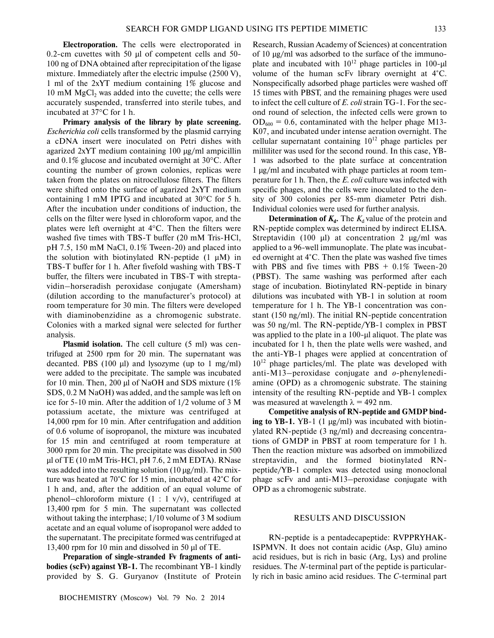**Electroporation.** The cells were electroporated in 0.2-cm cuvettes with 50 µl of competent cells and 50- 100 ng of DNA obtained after reprecipitation of the ligase mixture. Immediately after the electric impulse (2500 V), 1 ml of the 2xYT medium containing 1% glucose and  $10 \text{ mM } MgCl$ <sub>2</sub> was added into the cuvette; the cells were accurately suspended, transferred into sterile tubes, and incubated at 37°C for 1 h.

**Primary analysis of the library by plate screening.** *Escherichia coli* cells transformed by the plasmid carrying a cDNA insert were inoculated on Petri dishes with agarized 2xYT medium containing 100 µg/ml ampicillin and 0.1% glucose and incubated overnight at 30°C. After counting the number of grown colonies, replicas were taken from the plates on nitrocellulose filters. The filters were shifted onto the surface of agarized 2xYT medium containing 1 mM IPTG and incubated at 30°C for 5 h. After the incubation under conditions of induction, the cells on the filter were lysed in chloroform vapor, and the plates were left overnight at 4°C. Then the filters were washed five times with TBS-T buffer (20 mM Tris-HCl, pH 7.5, 150 mM NaCl, 0.1% Tween-20) and placed into the solution with biotinylated RN-peptide  $(1 \mu M)$  in TBS-T buffer for 1 h. After fivefold washing with TBS-T buffer, the filters were incubated in TBS-T with streptavidin–horseradish peroxidase conjugate (Amersham) (dilution according to the manufacturer's protocol) at room temperature for 30 min. The filters were developed with diaminobenzidine as a chromogenic substrate. Colonies with a marked signal were selected for further analysis.

**Plasmid isolation.** The cell culture (5 ml) was centrifuged at 2500 rpm for 20 min. The supernatant was decanted. PBS  $(100 \mu l)$  and lysozyme  $(up to 1 mg/ml)$ were added to the precipitate. The sample was incubated for 10 min. Then, 200 µl of NaOH and SDS mixture  $(1\%$ SDS, 0.2 M NaOH) was added, and the sample was left on ice for 5-10 min. After the addition of 1/2 volume of 3 M potassium acetate, the mixture was centrifuged at 14,000 rpm for 10 min. After centrifugation and addition of 0.6 volume of isopropanol, the mixture was incubated for 15 min and centrifuged at room temperature at 3000 rpm for 20 min. The precipitate was dissolved in 500 µl of TE (10 mM Tris-HCl, pH 7.6, 2 mM EDTA). RNase was added into the resulting solution  $(10 \mu g/ml)$ . The mixture was heated at 70°C for 15 min, incubated at 42°C for 1 h and, and, after the addition of an equal volume of phenol–chloroform mixture  $(1 : 1 \text{ v/v})$ , centrifuged at 13,400 rpm for 5 min. The supernatant was collected without taking the interphase; 1/10 volume of 3 M sodium acetate and an equal volume of isopropanol were added to the supernatant. The precipitate formed was centrifuged at 13,400 rpm for 10 min and dissolved in 50 µl of TE.

**Preparation of single-stranded Fv fragments of antibodies (scFv) against YB-1.** The recombinant YB-1 kindly provided by S. G. Guryanov (Institute of Protein

Research, Russian Academy of Sciences) at concentration of 10 µg/ml was adsorbed to the surface of the immunoplate and incubated with  $10^{12}$  phage particles in 100-µl volume of the human scFv library overnight at 4°C. Nonspecifically adsorbed phage particles were washed off 15 times with PBST, and the remaining phages were used to infect the cell culture of *E. coli* strain TG-1. For the second round of selection, the infected cells were grown to  $OD_{600} = 0.6$ , contaminated with the helper phage M13-K07, and incubated under intense aeration overnight. The cellular supernatant containing  $10^{12}$  phage particles per milliliter was used for the second round. In this case, YB-1 was adsorbed to the plate surface at concentration 1 µg/ml and incubated with phage particles at room temperature for 1 h. Then, the *E. coli* culture was infected with specific phages, and the cells were inoculated to the density of 300 colonies per 85-mm diameter Petri dish. Individual colonies were used for further analysis.

**Determination of**  $K_d$ **. The**  $K_d$  **value of the protein and** RN-peptide complex was determined by indirect ELISA. Streptavidin (100  $\mu$ I) at concentration 2  $\mu$ g/ml was applied to a 96-well immunoplate. The plate was incubated overnight at 4°C. Then the plate was washed five times with PBS and five times with PBS  $+ 0.1\%$  Tween-20 (PBST). The same washing was performed after each stage of incubation. Biotinylated RN-peptide in binary dilutions was incubated with YB-1 in solution at room temperature for 1 h. The YB-1 concentration was constant (150 ng/ml). The initial RN-peptide concentration was 50 ng/ml. The RN-peptide/YB-1 complex in PBST was applied to the plate in a 100-µl aliquot. The plate was incubated for 1 h, then the plate wells were washed, and the anti-YB-1 phages were applied at concentration of  $10^{12}$  phage particles/ml. The plate was developed with anti-M13–peroxidase conjugate and *o*-phenylenediamine (OPD) as a chromogenic substrate. The staining intensity of the resulting RN-peptide and YB-1 complex was measured at wavelength  $\lambda = 492$  nm.

**Competitive analysis of RN-peptide and GMDP binding to YB-1.** YB-1 (1 µg/ml) was incubated with biotinylated RN-peptide (3 ng/ml) and decreasing concentrations of GMDP in PBST at room temperature for 1 h. Then the reaction mixture was adsorbed on immobilized streptavidin, and the formed biotinylated RNpeptide/YB-1 complex was detected using monoclonal phage scFv and anti-M13–peroxidase conjugate with OPD as a chromogenic substrate.

## RESULTS AND DISCUSSION

RN-peptide is a pentadecapeptide: RVPPRYHAK-ISPMVN. It does not contain acidic (Asp, Glu) amino acid residues, but is rich in basic (Arg, Lys) and proline residues. The *N*-terminal part of the peptide is particularly rich in basic amino acid residues. The *C*-terminal part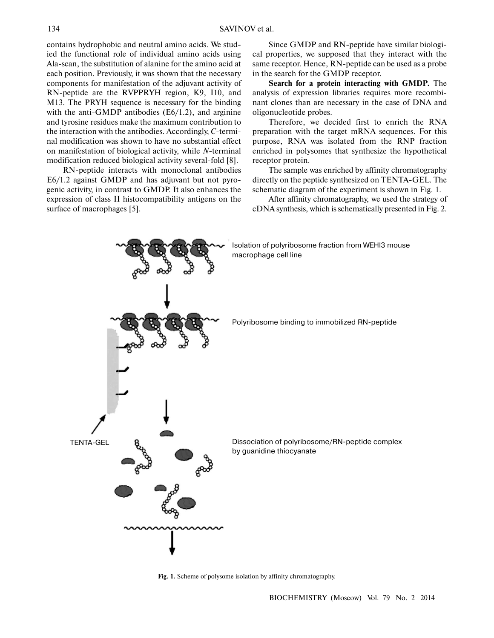contains hydrophobic and neutral amino acids. We studied the functional role of individual amino acids using Ala-scan, the substitution of alanine for the amino acid at each position. Previously, it was shown that the necessary components for manifestation of the adjuvant activity of RN-peptide are the RVPPRYH region, K9, I10, and M13. The PRYH sequence is necessary for the binding with the anti-GMDP antibodies (E6/1.2), and arginine and tyrosine residues make the maximum contribution to the interaction with the antibodies. Accordingly, *C*-terminal modification was shown to have no substantial effect on manifestation of biological activity, while *N*-terminal modification reduced biological activity several-fold [8].

RN-peptide interacts with monoclonal antibodies E6/1.2 against GMDP and has adjuvant but not pyrogenic activity, in contrast to GMDP. It also enhances the expression of class II histocompatibility antigens on the surface of macrophages [5].

Since GMDP and RN-peptide have similar biological properties, we supposed that they interact with the same receptor. Hence, RN-peptide can be used as a probe in the search for the GMDP receptor.

**Search for a protein interacting with GMDP.** The analysis of expression libraries requires more recombinant clones than are necessary in the case of DNA and oligonucleotide probes.

Therefore, we decided first to enrich the RNA preparation with the target mRNA sequences. For this purpose, RNA was isolated from the RNP fraction enriched in polysomes that synthesize the hypothetical receptor protein.

The sample was enriched by affinity chromatography directly on the peptide synthesized on TENTA-GEL. The schematic diagram of the experiment is shown in Fig. 1.

After affinity chromatography, we used the strategy of cDNA synthesis, which is schematically presented in Fig. 2.



**Fig. 1.** Scheme of polysome isolation by affinity chromatography.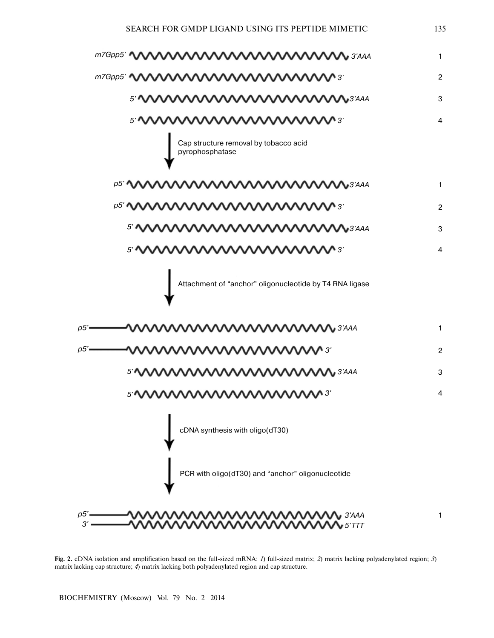

**Fig. 2.** cDNA isolation and amplification based on the full-sized mRNA: *1*) full-sized matrix; *2*) matrix lacking polyadenylated region; *3*) matrix lacking cap structure; *4*) matrix lacking both polyadenylated region and cap structure.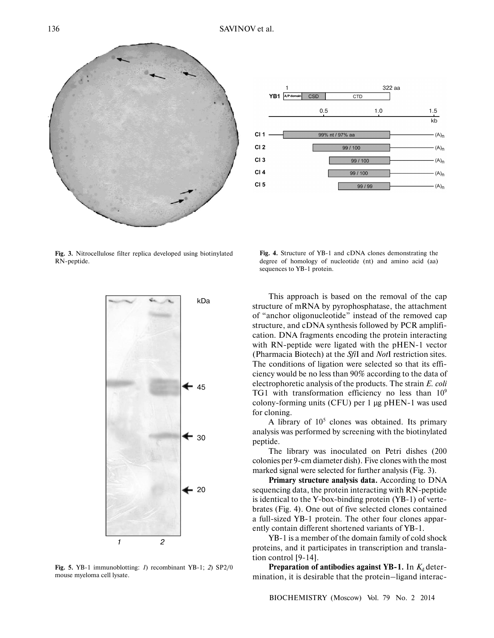



**Fig. 3.** Nitrocellulose filter replica developed using biotinylated RN-peptide.



**Fig. 5.** YB-1 immunoblotting: *1*) recombinant YB-1; *2*) SP2/0 mouse myeloma cell lysate.

**Fig. 4.** Structure of YB-1 and cDNA clones demonstrating the degree of homology of nucleotide (nt) and amino acid (aa) sequences to YB-1 protein.

This approach is based on the removal of the cap structure of mRNA by pyrophosphatase, the attachment of "anchor oligonucleotide" instead of the removed cap structure, and cDNA synthesis followed by PCR amplification. DNA fragments encoding the protein interacting with RN-peptide were ligated with the pHEN-1 vector (Pharmacia Biotech) at the *Sfi*I and *Not*I restriction sites. The conditions of ligation were selected so that its efficiency would be no less than 90% according to the data of electrophoretic analysis of the products. The strain *E. coli* TG1 with transformation efficiency no less than  $10<sup>9</sup>$ colony-forming units (CFU) per 1 µg pHEN-1 was used for cloning.

A library of  $10<sup>5</sup>$  clones was obtained. Its primary analysis was performed by screening with the biotinylated peptide.

The library was inoculated on Petri dishes (200 colonies per 9-cm diameter dish). Five clones with the most marked signal were selected for further analysis (Fig. 3).

**Primary structure analysis data.** According to DNA sequencing data, the protein interacting with RN-peptide is identical to the Y-box-binding protein (YB-1) of vertebrates (Fig. 4). One out of five selected clones contained a full-sized YB-1 protein. The other four clones apparently contain different shortened variants of YB-1.

YB-1 is a member of the domain family of cold shock proteins, and it participates in transcription and translation control [9-14].

**Preparation of antibodies against YB-1.** In  $K_d$  determination, it is desirable that the protein–ligand interac-

BIOCHEMISTRY (Moscow) Vol. 79 No. 2 2014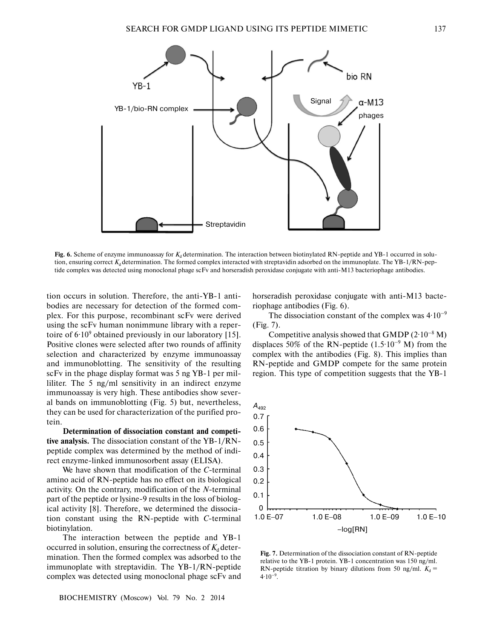

**Fig. 6.** Scheme of enzyme immunoassay for  $K_d$  determination. The interaction between biotinylated RN-peptide and YB-1 occurred in solution, ensuring correct  $K_d$  determination. The formed complex interacted with streptavidin adsorbed on the immunoplate. The YB-1/RN-peptide complex was detected using monoclonal phage scFv and horseradish peroxidase conjugate with anti-M13 bacteriophage antibodies.

tion occurs in solution. Therefore, the anti-YB-1 antibodies are necessary for detection of the formed complex. For this purpose, recombinant scFv were derived using the scFv human nonimmune library with a repertoire of  $6.10^9$  obtained previously in our laboratory [15]. Positive clones were selected after two rounds of affinity selection and characterized by enzyme immunoassay and immunoblotting. The sensitivity of the resulting scFv in the phage display format was 5 ng YB-1 per milliliter. The 5 ng/ml sensitivity in an indirect enzyme immunoassay is very high. These antibodies show several bands on immunoblotting (Fig. 5) but, nevertheless, they can be used for characterization of the purified protein.

**Determination of dissociation constant and competitive analysis.** The dissociation constant of the YB-1/RNpeptide complex was determined by the method of indirect enzyme-linked immunosorbent assay (ELISA).

We have shown that modification of the *C*-terminal amino acid of RN-peptide has no effect on its biological activity. On the contrary, modification of the *N*-terminal part of the peptide or lysine-9 results in the loss of biological activity [8]. Therefore, we determined the dissociation constant using the RN-peptide with *C*-terminal biotinylation.

The interaction between the peptide and YB-1 occurred in solution, ensuring the correctness of  $K_d$  determination. Then the formed complex was adsorbed to the immunoplate with streptavidin. The YB-1/RN-peptide complex was detected using monoclonal phage scFv and horseradish peroxidase conjugate with anti-M13 bacteriophage antibodies (Fig. 6).

The dissociation constant of the complex was  $4.10^{-9}$ (Fig. 7).

Competitive analysis showed that GMDP  $(2.10^{-8} M)$ displaces 50% of the RN-peptide  $(1.5 \cdot 10^{-9} \text{ M})$  from the complex with the antibodies (Fig. 8). This implies than RN-peptide and GMDP compete for the same protein region. This type of competition suggests that the YB-1



**Fig. 7.** Determination of the dissociation constant of RN-peptide relative to the YB-1 protein. YB-1 concentration was 150 ng/ml. RN-peptide titration by binary dilutions from 50 ng/ml.  $K_d$  =  $4.10^{-9}$ .